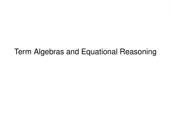# Term Algebras and Equational Reasoning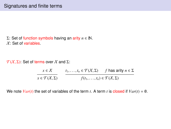Σ: Set of function symbols having an arity *n*  $∈$  **N**.  $X:$  Set of variables.

 $\mathcal{T}(X,\Sigma)$ : Set of terms over X and Σ:

$$
x \in X
$$
  

$$
x \in \mathcal{T}(X, \Sigma)
$$
  

$$
t_1, \dots, t_n \in \mathcal{T}(X, \Sigma)
$$
  

$$
f(t_1, \dots, t_n) \in \mathcal{T}(X, \Sigma)
$$

We note  $Var(t)$  the set of variables of the term *t*. A term *t* is closed if  $Var(t) = \emptyset$ .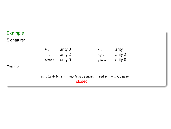# Example

Signature:

|        | $h$ :                    | arity $0$                                         | $S$ :  | arity 1 |
|--------|--------------------------|---------------------------------------------------|--------|---------|
|        | $+$ :                    | arity 2                                           | $ea$ : | arity 2 |
|        | <i>true</i> : $\arity 0$ |                                                   | false: | arity 0 |
| Terms: |                          |                                                   |        |         |
|        | $eq(s(x+b),b)$           | $eq(true, false)$ $eq(s(x + b), false)$<br>closed |        |         |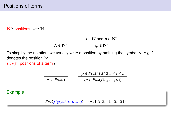## **IN**<sup>∗</sup>: positions over IN

$$
\overline{\Lambda \in \mathbb{N}^*}
$$
  $i \in \mathbb{N} \text{ and } p \in \mathbb{N}^*$   
 $ip \in \mathbb{N}^*$ 

To simplify the notation, we usually write a position by omitting the symbol  $\Lambda$ , e.g. 2 denotes the position 2Λ.

*Pos*(*t*): positions of a term *t*

$$
\overline{\Lambda \in Pos(t)}
$$
\n
$$
\frac{p \in Pos(t_i) \text{ and } 1 \le i \le n}{ip \in Pos(f(t_1, \dots, t_n))}
$$

# Example

 $Pos(f(g(a, h(b)), x, c)) = \{\Lambda, 1, 2, 3, 11, 12, 121\}$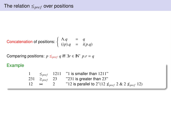Concatenation of positions: 
$$
\begin{cases} \Lambda.q &= q \\ (ip).q &= i(p.q) \end{cases}
$$

Comparing positions:  $p \leq_{pref} q$  iff  $\exists r \in \mathbb{N}^*$   $p.r = q$ 

# Example

| $\bowtie$ | "12 is parallel to 2"(12 $\nleq_{pref}$ 2 & 2 $\nleq_{pref}$ 12) |
|-----------|------------------------------------------------------------------|
|           | 231 $\geq_{pref}$ 23 $\geq$ 231 is greater than 23"              |
|           | $\leq_{pref}$ 1211 "1 is smaller than 1211"                      |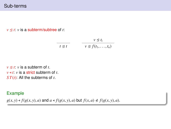# Sub-terms

 $v \leq t$ : *v* is a subterm/subtree of *t*:

$$
\frac{v \trianglelefteq t}{t \trianglelefteq t} \qquad \frac{v \trianglelefteq t_i}{v \trianglelefteq f(t_1, \ldots, t_n)}
$$

 $v \leq t$ : *v* is a subterm of *t*.  $v \triangleleft t$ : *v* is a strict subterm of *t*. *S T*(*t*): All the subterms of *t*.

## Example

 $g(x, y) \triangleleft f(g(x, y), a)$  and  $a \triangleleft f(g(x, y), a)$  but  $f(x, a) \triangleleft f(g(x, y), a)$ .

 $\overline{a}$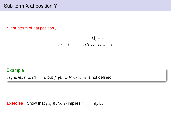# Sub-term X at position Y

*t*|*p*: subterm of *t* at position *p*

$$
\frac{t_i|_q = v}{t|_{\Lambda} = t} \qquad \frac{t_i|_q = v}{f(t_1, \dots, t_n)|_{iq} = v}
$$

### Example

 $f(g(a, h(b)), x, c)|_{11} = a$  but  $f(g(a, h(b)), x, c)|_{21}$  is not defined.

**Exercise :** Show that  $p.q \in Pos(t)$  implies  $t|_{p.q} = (t|_p)|_q$ .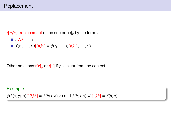# Replacement

 $t[p/\n|v]$ : replacement of the subterm  $t|_p$  by the term  $v$ 

 $\blacksquare$ *t*[ $\Lambda/\!\!/$ *v*] = *v*  $f(t_1, \ldots, t_n)[ip]/[v] = f(t_1, \ldots, t_i[p]/[v], \ldots, t_n)$ 

Other notations: $t[v]_p$  or  $t[v]$  if p is clear from the context.

# Example

 $f(h(x, y), a)[12/b] = f(h(x, b), a)$  and  $f(h(x, y), a)[1/b] = f(b, a)$ .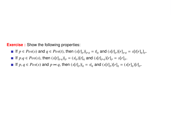**Exercise :** Show the following properties:

- If  $p \in Pos(s)$  and  $q \in Pos(t)$ , then  $(s[t]_p)|_{p,q} = t|_q$  and  $(s[t]_p)[r]_{p,q} = s[t[r]_q]_p$ .
- If  $p.q \in Pos(s)$ , then  $(s[t]_{p,q})|_p = (s|_p)[t]_q$  and  $(s[t]_{p,q})[r]_p = s[r]_p$ .
- If  $p, q \in Pos(s)$  and  $p \Join q$ , then  $(s[t]_p)|_q = s|_q$  and  $(s[t]_p)[r]_q = (s[r]_q)[t]_p$ .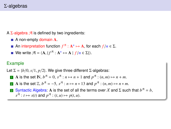A  $\Sigma$ -algebra  $\mathcal A$  is defined by two ingredients:

- A non-empty domain **A**.
- An interpretation function  $f^{\mathcal{A}}: \mathbf{A}^n \mapsto \mathbf{A}$ , for each  $f/n \in \Sigma$ .
- We write  $\mathcal{A} = \langle \mathbf{A}, \{ f^{\mathcal{A}} : \mathbf{A}^n \mapsto \mathbf{A} \mid f / n \in \Sigma \} \rangle$ .

## Example

Let  $\Sigma = \{b/0, s/1, p/2\}$ . We give three different  $\Sigma$ -algebras:

- **1** A is the set  $\mathbb{N}, b^{\mathcal{A}} = 0, s^{\mathcal{A}} : n \mapsto n + 1$  and  $p^{\mathcal{A}} : (n, m) \mapsto n + m$ .
- **2** A is the set  $\mathbb{Z}$ ,  $b^{\mathcal{A}} = -5$ ,  $s^{\mathcal{A}} : n \mapsto n * 13$  and  $p^{\mathcal{A}} : (n, m) \mapsto n * m$ .
- 3 Syntactic Algebra: A is the set of all the terms over X and  $\Sigma$  such that  $b^{\mathcal{A}} = b$ ,  $s^{\mathcal{A}}: t \mapsto s(t)$  and  $p^{\mathcal{A}}: (t, u) \mapsto p(t, u)$ .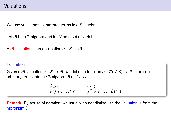# Valuations

We use valuations to interpret terms in a  $\Sigma$ -algebra.

Let  $\mathcal A$  be a  $\Sigma$ -algebra and let  $\mathcal X$  be a set of variables.

A A-valuation is an application  $\sigma : \mathcal{X} \to \mathcal{A}$ .

## **Definition**

Given a A-valuation  $\sigma : X \to \mathcal{A}$ , we define a function  $\widehat{\sigma} : \mathcal{T}(X, \Sigma) \to \mathcal{A}$  interpreting arbitrary terms into the  $\Sigma$ -algebra  $\mathcal A$  as follows:

$$
\widehat{\sigma}(x) = \sigma(x) \n\widehat{\sigma}(f(t_1,\ldots,t_n)) = f^{\mathcal{A}}(\widehat{\sigma}(t_1),\ldots,\widehat{\sigma}(t_n))
$$

**Remark:** By abuse of notation, we usually do not distinguish the valuation  $\sigma$  from the morphism  $\widehat{\sigma}$ .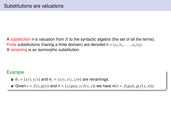A substitution  $\theta$  is valuation from X to the syntactic algebra (the set of all the terms). Finite substitutions (having a finite domain) are denoted  $\theta = \{x_1/t_1, \ldots, x_n/t_n\}$ . A renaming is an isomorphic substitution.

## Example

- $\theta_1 = \{x/y, y/x\}$  and  $\theta_2 = \{x/y, y/z, z/w\}$  are renamings.
- Given  $t = f(x, g(y))$  and  $\theta = \{x/g(a), y/f(x, x)\}\$  we have  $\theta(t) = f(g(a), g(f(x, x))).$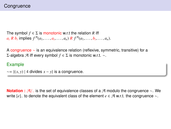The symbol  $f \in \Sigma$  is monotonic w.r.t the relation R iff  $a_i R b_i$  implies  $f^{\mathcal{A}}(a_1, ..., a_i, ..., a_n) R f^{\mathcal{A}}(a_1, ..., b_i, ..., a_n)$ .

A congruence ∼ is an equivalence relation (reflexive, symmetric, transitive) for a Σ-algebra A iff every symbol *f* ∈ Σ is monotonic w.r.t. ∼.

#### Example

 $\sim$  = {(*x*, *y*) | 4 divides *x* − *y*} is a congruence.

**Notation :**  $\mathcal{A}/\sim$  is the set of equivalence classes of a  $\mathcal{A}$  modulo the congruence ∼. We write  $[e]_∞$  to denote the equivalent class of the element  $e ∈ \mathcal{A}$  w.r.t. the congruence  $∼$ .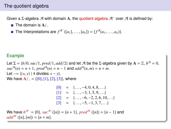Given a Σ-algebra  $\mathcal A$  with domain A, the quotient algebra  $\mathcal A^r$  over  $\mathcal A$  is defined by:

- The domain is  $A/\sim$
- The Interpretations are  $f^{\mathcal{A}^{\sim}}([a_1], \ldots, [a_n]) = [f^{\mathcal{A}}(a_1, \ldots, a_n)].$

## Example

Let  $\Sigma = \{b/0, suc/1, pred/1, add/2\}$  and let  $\mathcal A$  be the  $\Sigma$ -algebra given by  $\mathbf A = \mathbb Z, b^{\mathcal A} = 0,$ <br> $su^{\mathcal A}(n) = n + 1$ ,  $\text{pred}^{\mathcal A}(n) = n - 1$  and  $\text{add}^{\mathcal A}(n, m) = n + m$  $suc^{A}(n) = n + 1$ ,  $pred^{A}(n) = n - 1$  and  $add^{A}(n, m) = n + m$ . Let  $\sim$ = {(*x*, *y*) | 4 divides *x* − *y*}. We have  $A/\sim$  = {[0], [1], [2], [3]}, where

$$
\begin{array}{rcl}\n[0] & = & \{ \dots, -4, 0, 4, 8, \dots \} \\
[1] & = & \{ \dots, -3, 1, 5, 9, \dots \} \\
[2] & = & \{ \dots, -6, -2, 2, 6, 10, \dots \} \\
[3] & = & \{ \dots, -5, -1, 3, 7, \dots \}\n\end{array}
$$

We have  $b^{A\top} = [0]$ ,  $suc^{A\top}( [n] ) = [n + 1]$ ,  $pred^{A\top}( [n] ) = [n - 1]$  and  $add^{\mathcal{A}^{\sim}}([n],[m]) = [n+m].$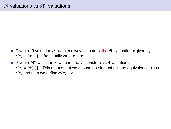- Given a A-valuation  $\sigma$ , we can always construct the A<sup>∼</sup>-valuation  $\tau$  given by  $\tau(x) = [\sigma(x)]$  We usually write  $\tau = \sigma$  $\tau(x) = [\sigma(x)]_{\sim}$ . We usually write  $\tau = \sigma_{\sim}$ .
- Given a  $\mathcal{A}^-$ -valuation  $\tau$ , we can always construct a  $\mathcal{A}$ -valuation  $\sigma$  s.t.<br> $\tau(r) = [\sigma(r)]$  This means that we choose an element e in the equive  $\tau(x) = [\sigma(x)]_{\sim}$ . This means that we choose an element *e* in the equivalence class  $\tau(x)$  and then we define  $\sigma(x) = e$ .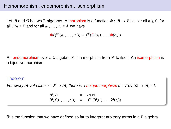# Homomorphism, endomorphism, isomorphism

Let A and B be two Σ-algebras. A morphism is a function  $\Phi : \mathcal{A} \to \mathcal{B}$  s.t. for all  $n \geq 0$ , for all  $f/n \in \Sigma$  and for all  $a_1, \ldots, a_n \in A$  we have

$$
\Phi(f^{\mathcal{A}}(a_1,\ldots,a_n))=f^{\mathcal{B}}(\Phi(a_1),\ldots,\Phi(a_n))
$$

An endomorphism over a  $\Sigma$ -algebra  $\mathcal A$  is a morphism from  $\mathcal A$  to itself. An isomorphism is a bijective morphism.

#### Theorem

For every A-valuation  $\sigma : X \to \mathcal{A}$ , there is a unique morphism  $\widehat{\sigma} : \mathcal{T}(X, \Sigma) \to \mathcal{A}$ , s.t.

$$
\widehat{\sigma}(x) = \sigma(x) \n\widehat{\sigma}(f(t_1,\ldots,t_n)) = f^{\mathcal{A}}(\widehat{\sigma}(t_1),\ldots,\widehat{\sigma}(t_n))
$$

 $\widehat{\sigma}$  is the function that we have defined so far to interpret arbitrary terms in a Σ-algebra.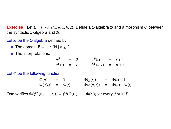**Exercise :** Let  $\Sigma = \{a/0, s/1, g/1, h/2\}$ . Define a  $\Sigma$ -algebra B and a morphism  $\Phi$  between the syntactic Σ-algebra and  $\mathcal{B}$ .

Let  $\mathcal B$  be the  $\Sigma$ -algebra defined by:

- The domain **B** =  ${n \in \mathbb{N} \mid n \ge 2}$
- **The interpretations:**

| $a^{\mathcal{B}}$        | $= 2$ | $g^{\mathcal{B}}(t)$         | $=$ $t+1$ |
|--------------------------|-------|------------------------------|-----------|
| $s^{\mathcal{B}}(t) = t$ |       | $h^{\mathcal{B}}(u,t) = u+t$ |           |
|                          |       |                              |           |

Let  $\Phi$  be the following function:

| $\Phi(a)$    | $=$ 2 |             | $\Phi(g(t))$   | $= \Phi(t) + 1$       |
|--------------|-------|-------------|----------------|-----------------------|
| $\Phi(s(t))$ |       | $= \Phi(t)$ | $\Phi(h(u,t))$ | $= \Phi(u) + \Phi(t)$ |
|              |       |             |                |                       |

One verifies  $\Phi(f^{\mathcal{A}}(t_1, ..., t_n)) = f^{\mathcal{B}}(\Phi(t_1), ..., \Phi(t_n))$  for every  $f/n$  in Σ.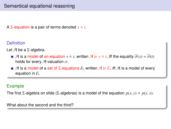A  $\Sigma$ -equation is a pair of terms denoted  $s \doteq t$ .

# **Definition**

Let  $\mathcal A$  be a  $\Sigma$ -algebra.

- **A** is a model of an equation  $s \doteq t$ , written  $\mathcal{A} \models s \doteq t$ , iff the equality  $\widehat{\sigma}(s) = \widehat{\sigma}(t)$ holds for every  $A$ -valuation  $\sigma$ .
- **A** is a model of a set of Σ-equations E, written  $\mathcal{A} \models \mathcal{E}$ , iff A is a model of every equation in  $\mathcal{E}$ .

# Example

The first Σ-algebra on slide (Σ-algebras) is a model of the equation  $p(x, y) \doteq p(y, x)$ .

What about the second and the third?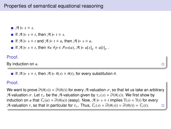$\blacksquare$   $\mathcal{A} \models s \doteq s$ .

If  $\mathcal{A} \models s = t$ , then  $\mathcal{A} \models t = s$ .

If 
$$
A \models s \stackrel{.}{=} t
$$
 and  $A \models t \stackrel{.}{=} u$ , then  $A \models s \stackrel{.}{=} u$ .

■ If  $\mathcal{A} \models s = t$ , then  $\forall u \ \forall p \in Pos(u)$ ,  $\mathcal{A} \models u[s]_p \doteq u[t]_p$ .

#### Proof.

By induction on *u*.

If  $\mathcal{A} \models s = t$ , then  $\mathcal{A} \models \theta(s) = \theta(t)$ , for every substitution  $\theta$ .

## Proof.

We want to prove  $\widehat{\sigma}(\theta(s)) = \widehat{\sigma}(\theta(t))$  for every A-valuation  $\sigma$ , so that let us take an arbitrary A-valuation  $\sigma$ . Let  $\tau_{\sigma}$  be the A-valuation given by  $\tau_{\sigma}(x) = \widehat{\sigma}(\theta(x))$ . We first show by induction on *u* that  $\widehat{\tau}_{\sigma}(u) = \widehat{\sigma}(\theta(u))$  (easy). Now,  $\mathcal{A} \models s \models t$  implies  $\widehat{\tau}(s) = \widehat{\tau}(t)$  for every A-valuation  $\tau$ , so that in particular for  $\tau_{\tau}$ . Thus,  $\widehat{\tau_{\tau}}(s) = \widehat{\sigma}(\theta(s)) = \widehat{\sigma}(\theta(t)) = \widehat{\tau_{\tau}}(t)$ .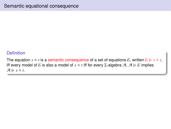## **Definition**

The equation  $s \doteq t$  is a semantic consequence of a set of equations E, written  $\mathcal{E} \models s \doteq t$ , iff every model of  $\mathcal E$  is also a model of  $s \doteq t$  iff for every  $\Sigma$ -algebra  $\mathcal A$ ,  $\mathcal A \models \mathcal E$  implies  $\mathcal{A} \models s \doteq t$ .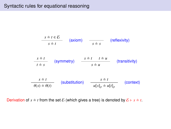# Syntactic rules for equational reasoning

$$
\frac{s \doteq t \in \mathcal{E}}{s \doteq t} \qquad \text{(axiom)} \qquad \frac{}{s \doteq s} \qquad \text{(reflexivity)}
$$
\n
$$
\frac{s \doteq t}{t \doteq s} \qquad \text{(symmetry)} \qquad \frac{s \doteq t}{s \doteq u} \qquad \text{(transitivity)}
$$
\n
$$
\frac{s \doteq t}{\theta(s) \doteq \theta(t)} \qquad \text{(substitution)} \qquad \frac{s \doteq t}{u[s]_p \doteq u[t]_p} \qquad \text{(context)}
$$

Derivation of  $s \doteq t$  from the set  $\mathcal E$  (which gives a tree) is denoted by  $\mathcal E \vdash s \doteq t$ .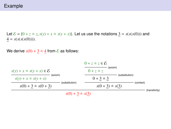## Example

Let  $\mathcal{E} = \{0 + z \doteq z, s(y) + x \doteq s(y + x)\}\$ . Let us use the notations  $3 = s(s(s(0)))$  and  $4 = s(s(s(s(0))))$ .

We derive  $s(0) + 3 \doteq 4$  from  $\&$  as follows:

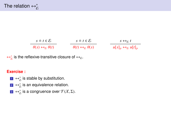| $s \doteq t \in \mathcal{E}$                        | $s \doteq t \in \mathcal{E}$                        | $s \leftrightarrow_{\varepsilon} t$           |
|-----------------------------------------------------|-----------------------------------------------------|-----------------------------------------------|
| $\theta(s) \leftrightarrow_{\varepsilon} \theta(t)$ | $\theta(t) \leftrightarrow_{\varepsilon} \theta(s)$ | $u[s]_p \leftrightarrow_{\mathcal{E}} u[t]_p$ |

 $\leftrightarrow_{\varepsilon}^*$  is the reflexive-transitive closure of  $\leftrightarrow_{\varepsilon}$ .

## **Exercise :**

- 1  $\leftrightarrow_{\mathcal{E}}^*$  is stable by substitution.
- $\mathbf{z} \leftrightarrow_{\mathcal{E}}^*$  is an equivalence relation.
- $\overline{\mathcal{B}}$  ⇔<sup>\*</sup><sub>ε</sub> is a congruence over  $\mathcal{T}(X,\Sigma)$ .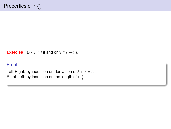```
Exercise : \mathcal{E} \vdash s \doteq t if and only if s \leftrightarrow_{\mathcal{E}}^* t.
```
## Proof.

Left-Right: by induction on derivation of  $\mathcal{E} \vdash s \doteq t$ . Right-Left: by induction on the length of  $\leftrightarrow_{\mathcal{E}}^*$ .

 $\Box$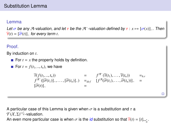## Lemma

Let σ be any A-valuation, and let τ be the A<sup>∼</sup>-valuation defined by τ : *x* → [σ(*x*)]<sub>∼</sub>. Then<br><del>Γ</del>(*t*) = Γσ(*t*)] for every term t  $\widehat{\tau}(t) = [\widehat{\sigma}(t)]_{\sim}$  for every term *t*.

# **Proof**

By induction on *t*.

For  $t = x$  the property holds by definition.

**For** 
$$
t = f(t_1, ..., t_n)
$$
, we have

$$
\begin{array}{rcl}\n\widehat{\tau}(f(t_1,...,t_n)) & = & f^{\mathcal{A}^{\sim}}(\widehat{\tau}(t_1),\ldots,\widehat{\tau}(t_n)) & = & \\ \nf^{\mathcal{A}^{\sim}}([\widehat{\sigma}(t_1)],\ldots,(\widehat{\sigma}(t_n)], & = & [f^{\mathcal{A}}(\widehat{\sigma}(t_1),\ldots,\widehat{\sigma}(t_n))]_{\sim} & = & \\ \hline\n[\widehat{\sigma}(t)]. & = & \end{array}
$$

ò

A particular case of this Lemma is given when  $\sigma$  is a substitution and  $\tau$  a  $\mathcal{T}(X,\Sigma)_{\phi}^*$ -valuation.<br>An even more particulation.

An even more particular case is when  $\sigma$  is the *id* substitution so that  $\widehat{\tau}(t) = [t]_{\leftrightarrow_{\mathcal{E}}^*}.$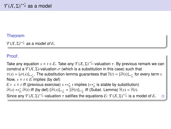# Theorem

 $T(X,\Sigma)^\leftrightarrow{}_{\varepsilon}$  as a model of  $\varepsilon$ .

# Proof.

Take any equation  $s = t \in \mathcal{E}$ . Take any  $\mathcal{T}(X, \Sigma)^{**}$ *i*<sup>\*</sup> -valuation  $\tau$ . By previous remark we can construt a  $\mathcal{T}(X, \Sigma)$ -valuation  $\tau$  (which is a substitution in this case) such that construt a  $T(X, \Sigma)$ -valuation  $\sigma$  (which is a substitution in this case) such that  $\tau(x) = [\sigma(x)]_{\leftrightarrow_c^*}$ . The substitution lemma guarantees that  $\widehat{\tau}(t) = [\widehat{\sigma}(t)]_{\leftrightarrow_c^*}$  for every term *t*.<br>Now  $s = t \in \mathcal{E}$  implies (by def) Now,  $s \doteq t \in \mathcal{E}$  implies (by def)  $\mathcal{E} \vdash s \doteq t$  iff (previous exercise)  $s \leftrightarrow_{\mathcal{E}}^* t$  implies ( $\leftrightarrow_{\mathcal{E}}^*$  is stable by substitution)  $\widehat{\sigma}(s) \leftrightarrow_{\widehat{\sigma}}^* \widehat{\sigma}(t)$  iff (by def)  $[\widehat{\sigma}(s)]_{\leftrightarrow_{\widehat{\sigma}}^*} = [\widehat{\sigma}(t)]_{\leftrightarrow_{\widehat{\sigma}}^*}$  iff (Subst. Lemma)  $\widehat{\tau}(s) = \widehat{\tau}(t)$ . Since any  $\mathcal{T}(X, \Sigma)^{**}$  -valuation  $\tau$  satifies the equations  $\mathcal{E}: \mathcal{T}(X, \Sigma)^{**}$  is a model of  $\mathcal{E}$ .  $\square$